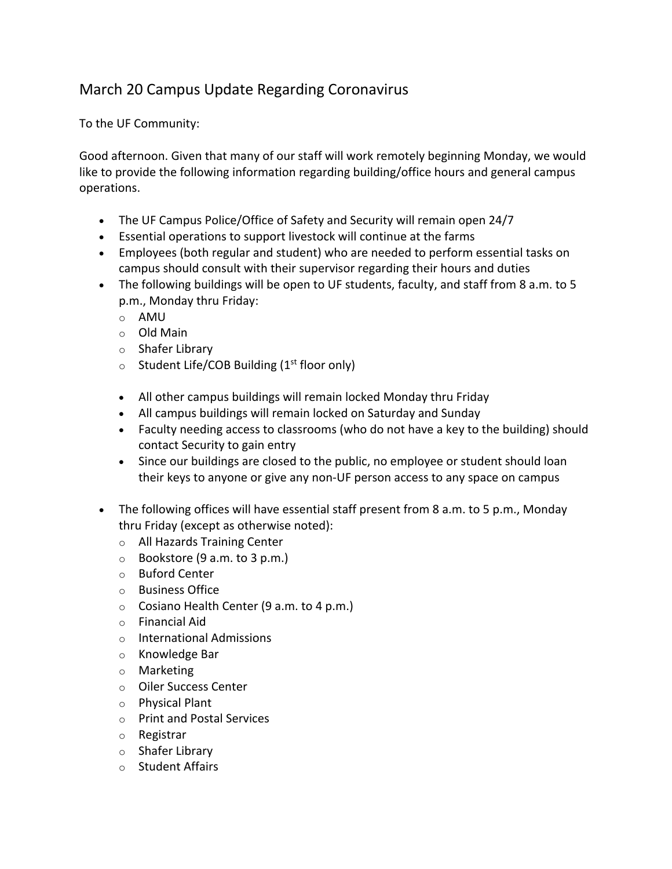## March 20 Campus Update Regarding Coronavirus

To the UF Community:

Good afternoon. Given that many of our staff will work remotely beginning Monday, we would like to provide the following information regarding building/office hours and general campus operations.

- The UF Campus Police/Office of Safety and Security will remain open 24/7
- Essential operations to support livestock will continue at the farms
- Employees (both regular and student) who are needed to perform essential tasks on campus should consult with their supervisor regarding their hours and duties
- The following buildings will be open to UF students, faculty, and staff from 8 a.m. to 5 p.m., Monday thru Friday:
	- o AMU
	- o Old Main
	- o Shafer Library
	- $\circ$  Student Life/COB Building (1<sup>st</sup> floor only)
	- All other campus buildings will remain locked Monday thru Friday
	- All campus buildings will remain locked on Saturday and Sunday
	- Faculty needing access to classrooms (who do not have a key to the building) should contact Security to gain entry
	- Since our buildings are closed to the public, no employee or student should loan their keys to anyone or give any non-UF person access to any space on campus
- The following offices will have essential staff present from 8 a.m. to 5 p.m., Monday thru Friday (except as otherwise noted):
	- o All Hazards Training Center
	- $\circ$  Bookstore (9 a.m. to 3 p.m.)
	- o Buford Center
	- o Business Office
	- o Cosiano Health Center (9 a.m. to 4 p.m.)
	- o Financial Aid
	- o International Admissions
	- o Knowledge Bar
	- o Marketing
	- o Oiler Success Center
	- o Physical Plant
	- o Print and Postal Services
	- o Registrar
	- o Shafer Library
	- o Student Affairs